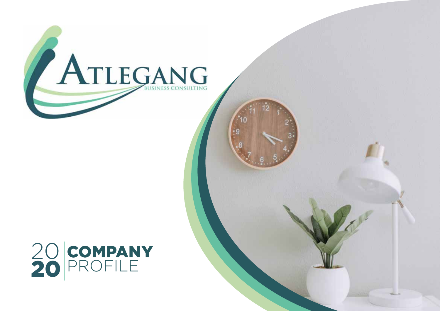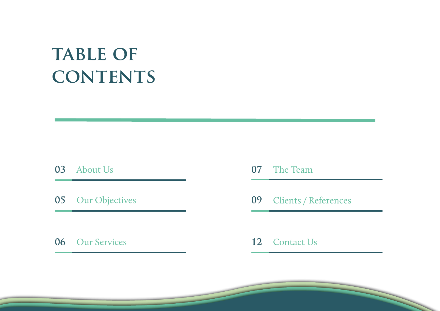### **TABLE OF CONTENTS**

#### **03** About Us

**05** Our Objectives

**06** Our Services

- **07**  The Team
- **09** Clients / References

 $\overline{\phantom{0}}$ 

#### **12** Contact Us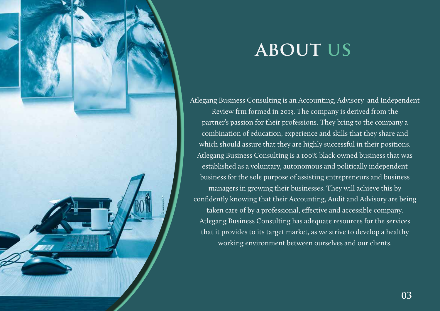

### **about us**

Atlegang Business Consulting is an Accounting, Advisory and Independent Review frm formed in 2013. The company is derived from the partner's passion for their professions. They bring to the company a combination of education, experience and skills that they share and which should assure that they are highly successful in their positions. Atlegang Business Consulting is a 100% black owned business that was established as a voluntary, autonomous and politically independent business for the sole purpose of assisting entrepreneurs and business managers in growing their businesses. They will achieve this by confidently knowing that their Accounting, Audit and Advisory are being taken care of by a professional, effective and accessible company. Atlegang Business Consulting has adequate resources for the services that it provides to its target market, as we strive to develop a healthy working environment between ourselves and our clients.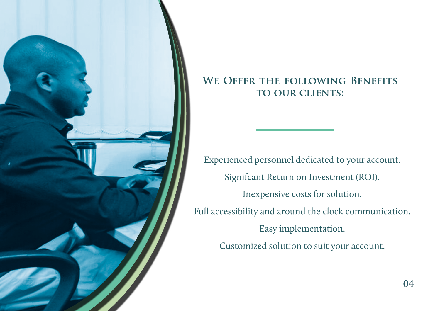

#### **We Offer the following Benefits to our clients:**

Experienced personnel dedicated to your account. Signifcant Return on Investment (ROI). Inexpensive costs for solution. Full accessibility and around the clock communication. Easy implementation. Customized solution to suit your account.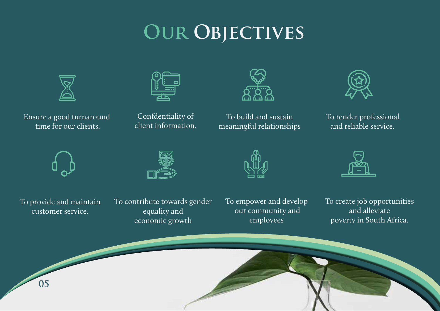# **Our Objectives**



Ensure a good turnaround time for our clients.



Confdentiality of client information.



To build and sustain meaningful relationships



To render professional and reliable service.



To provide and maintain customer service.









To create job opportunities and alleviate poverty in South Africa.



To empower and develop our community and employees

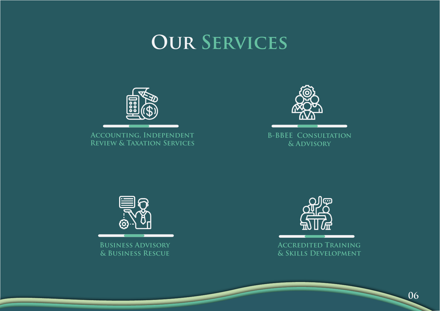### **Our Services**



**Accounting, Independent Review & Taxation Services**



**B-BBEE Consultation & Advisory**



**Business Advisory & Business Rescue**



**Accredited Training & Skills Development**

**06**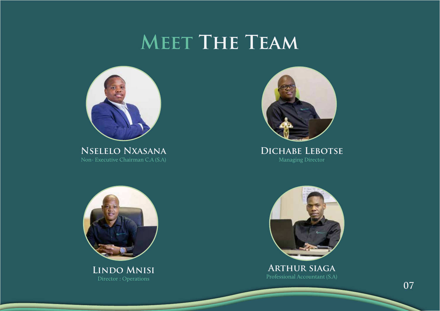### **Meet The Team**



**Nselelo Nxasana** Non- Executive Chairman C.A (S.A)



**Dichabe Lebotse** Managing Director



**Lindo Mnisi** Director : Operations



**Arthur siaga** Professional Accountant (S.A)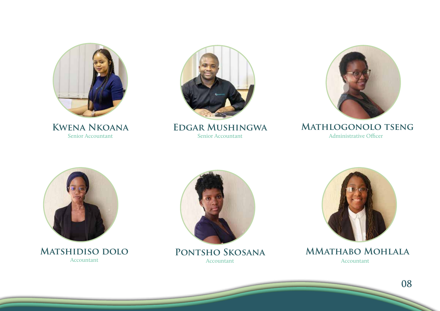

**KWENA NKOANA** Senior Accountant



EDGAR MUSHINGWA Senior Accountant



#### MATHLOGONOLO TSENG Administrative Officer



**MATSHIDISO DOLO** Accountant



PONTSHO SKOSANA Accountant



**MMATHABO MOHLALA** Accountant

08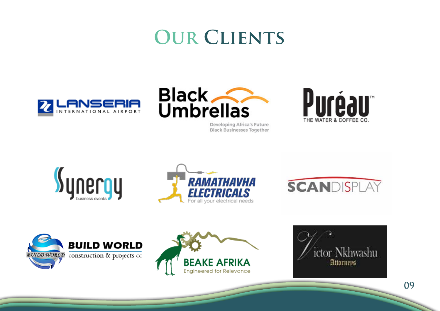## **OUR CLIENTS**





Developing Africa's Future **Black Businesses Together** 













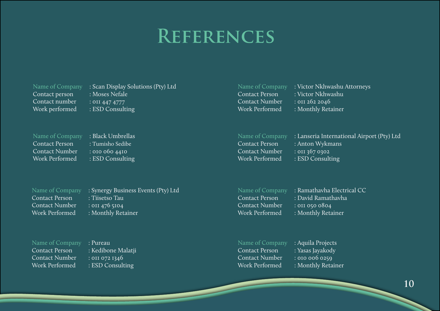### **References**

Contact person : Moses Nefale Contact number : 0II 447 4777 Work performed : ESD Consulting

Name of Company : Scan Display Solutions (Pty) Ltd

Name of Company : Black Umbrellas

Contact Person : Tumisho Sedibe Contact Number : 010 060 4410 Work Performed : ESD Consulting

Name of Company : Synergy Business Events (Pty) Ltd Contact Person : Tiisetso Tau Contact Number : 0II 476 5104 Work Performed : Monthly Retainer

Name of Company : Pureau Contact Person : Kedibone Malatji Contact Number : 011 072 1346 Work Performed : ESD Consulting

Contact Person : Victor Nkhwashu Contact Number : 011 262 2046 Work Performed : Monthly Retainer

Name of Company : Victor Nkhwashu Attorneys

Contact Number : 011 367 0302 Work Performed : ESD Consulting

Name of Company : Lanseria International Airport (Pty) Ltd Contact Person : Anton Wykmans

Name of Company : Ramathavha Electrical CC Contact Person : David Ramathavha Contact Number : 011 050 0804 Work Performed : Monthly Retainer

Name of Company : Aquila Projects Contact Person : Yasas Jayakody Contact Number : 010 006 0259 Work Performed : Monthly Retainer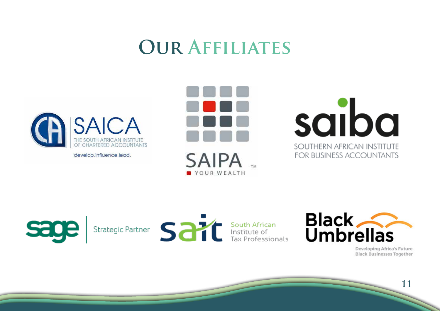## **Our Affiliates**



develop.influence.lead.









Developing Africa's Future **Black Businesses Together** 

**11**